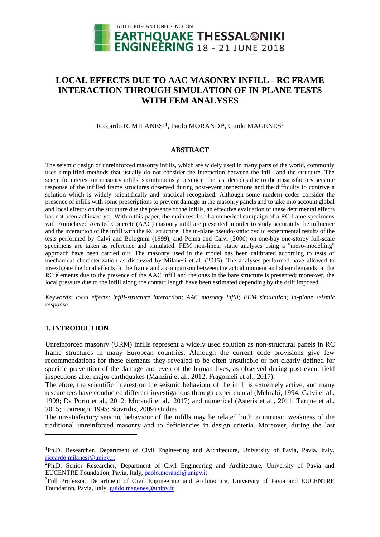

# **LOCAL EFFECTS DUE TO AAC MASONRY INFILL - RC FRAME INTERACTION THROUGH SIMULATION OF IN-PLANE TESTS WITH FEM ANALYSES**

Riccardo R. MILANESI<sup>1</sup>, Paolo MORANDI<sup>2</sup>, Guido MAGENES<sup>3</sup>

#### **ABSTRACT**

The seismic design of unreinforced masonry infills, which are widely used in many parts of the world, commonly uses simplified methods that usually do not consider the interaction between the infill and the structure. The scientific interest on masonry infills is continuously raising in the last decades due to the unsatisfactory seismic response of the infilled frame structures observed during post-event inspections and the difficulty to contrive a solution which is widely scientifically and practical recognized. Although some modern codes consider the presence of infills with some prescriptions to prevent damage in the masonry panels and to take into account global and local effects on the structure due the presence of the infills, an effective evaluation of these detrimental effects has not been achieved yet. Within this paper, the main results of a numerical campaign of a RC frame specimens with Autoclaved Aerated Concrete (AAC) masonry infill are presented in order to study accurately the influence and the interaction of the infill with the RC structure. The in-plane pseudo-static cyclic experimental results of the tests performed by Calvi and Bolognini (1999), and Penna and Calvi (2006) on one-bay one-storey full-scale specimens are taken as reference and simulated. FEM non-linear static analyses using a "meso-modelling" approach have been carried out. The masonry used in the model has been calibrated according to tests of mechanical characterization as discussed by Milanesi et al. (2015). The analyses performed have allowed to investigate the local effects on the frame and a comparison between the actual moment and shear demands on the RC elements due to the presence of the AAC infill and the ones in the bare structure is presented; moreover, the local pressure due to the infill along the contact length have been estimated depending by the drift imposed.

*Keywords: local effects; infill-structure interaction; AAC masonry infill; FEM simulation; in-plane seismic response.*

# **1. INTRODUCTION**

l

Unreinforced masonry (URM) infills represent a widely used solution as non-structural panels in RC frame structures in many European countries. Although the current code provisions give few recommendations for these elements they revealed to be often unsuitable or not clearly defined for specific prevention of the damage and even of the human lives, as observed during post-event field inspections after major earthquakes (Manzini et al., 2012; Fragomeli et al., 2017).

Therefore, the scientific interest on the seismic behaviour of the infill is extremely active, and many researchers have conducted different investigations through experimental (Mehrabi, 1994; Calvi et al., 1999; Da Porto et al., 2012; Morandi et al., 2017) and numerical (Asteris et al., 2011; Tarque et al., 2015; Lourenço, 1995; Stavridis, 2009) studies.

The unsatisfactory seismic behaviour of the infills may be related both to intrinsic weakness of the traditional unreinforced masonry and to deficiencies in design criteria. Moreover, during the last

<sup>1</sup>Ph.D. Researcher, Department of Civil Engineering and Architecture, University of Pavia, Pavia, Italy, [riccardo.milanesi@unipv.it](mailto:emailaddress1@canterbury.ac.nz)

<sup>&</sup>lt;sup>2</sup>Ph.D. Senior Researcher, Department of Civil Engineering and Architecture, University of Pavia and EUCENTRE Foundation, Pavia, Italy, [paolo.morandi@unipv.it](mailto:emailaddress1@canterbury.ac.nz)

<sup>&</sup>lt;sup>3</sup>Full Professor, Department of Civil Engineering and Architecture, University of Pavia and EUCENTRE Foundation, Pavia, Italy, [guido.magenes@unipv.it](mailto:emailaddress1@canterbury.ac.nz)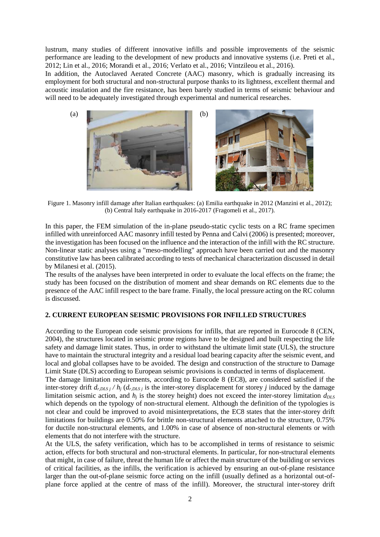lustrum, many studies of different innovative infills and possible improvements of the seismic performance are leading to the development of new products and innovative systems (i.e. Preti et al., 2012; Lin et al., 2016; Morandi et al., 2016; Verlato et al., 2016; Vintzileou et al., 2016).

In addition, the Autoclaved Aerated Concrete (AAC) masonry, which is gradually increasing its employment for both structural and non-structural purpose thanks to its lightness, excellent thermal and acoustic insulation and the fire resistance, has been barely studied in terms of seismic behaviour and will need to be adequately investigated through experimental and numerical researches.



Figure 1. Masonry infill damage after Italian earthquakes: (a) Emilia earthquake in 2012 (Manzini et al., 2012); (b) Central Italy earthquake in 2016-2017 (Fragomeli et al., 2017).

In this paper, the FEM simulation of the in-plane pseudo-static cyclic tests on a RC frame specimen infilled with unreinforced AAC masonry infill tested by Penna and Calvi (2006) is presented; moreover, the investigation has been focused on the influence and the interaction of the infill with the RC structure. Non-linear static analyses using a "meso-modelling" approach have been carried out and the masonry constitutive law has been calibrated according to tests of mechanical characterization discussed in detail by Milanesi et al. (2015).

The results of the analyses have been interpreted in order to evaluate the local effects on the frame; the study has been focused on the distribution of moment and shear demands on RC elements due to the presence of the AAC infill respect to the bare frame. Finally, the local pressure acting on the RC column is discussed.

# **2. CURRENT EUROPEAN SEISMIC PROVISIONS FOR INFILLED STRUCTURES**

According to the European code seismic provisions for infills, that are reported in Eurocode 8 (CEN, 2004), the structures located in seismic prone regions have to be designed and built respecting the life safety and damage limit states. Thus, in order to withstand the ultimate limit state (ULS), the structure have to maintain the structural integrity and a residual load bearing capacity after the seismic event, and local and global collapses have to be avoided. The design and construction of the structure to Damage Limit State (DLS) according to European seismic provisions is conducted in terms of displacement.

The damage limitation requirements, according to Eurocode 8 (EC8), are considered satisfied if the inter-storey drift  $d_{r,DLS}$  *j* /  $h_j$  ( $d_{r,DLS}$  *j* is the inter-storey displacement for storey *j* induced by the damage limitation seismic action, and  $h_i$  is the storey height) does not exceed the inter-storey limitation  $d_{DLS}$ which depends on the typology of non-structural element. Although the definition of the typologies is not clear and could be improved to avoid misinterpretations, the EC8 states that the inter-storey drift limitations for buildings are 0.50% for brittle non-structural elements attached to the structure, 0.75% for ductile non-structural elements, and 1.00% in case of absence of non-structural elements or with elements that do not interfere with the structure.

At the ULS, the safety verification, which has to be accomplished in terms of resistance to seismic action, effects for both structural and non-structural elements. In particular, for non-structural elements that might, in case of failure, threat the human life or affect the main structure of the building or services of critical facilities, as the infills, the verification is achieved by ensuring an out-of-plane resistance larger than the out-of-plane seismic force acting on the infill (usually defined as a horizontal out-ofplane force applied at the centre of mass of the infill). Moreover, the structural inter-storey drift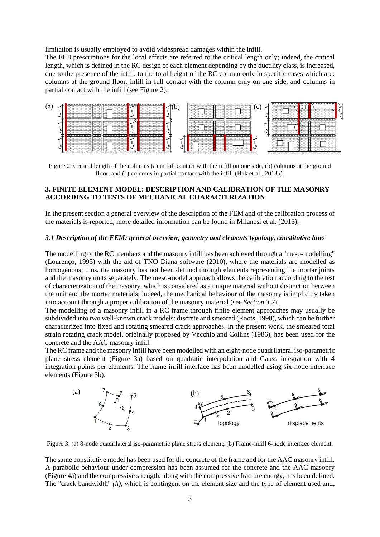limitation is usually employed to avoid widespread damages within the infill.

The EC8 prescriptions for the local effects are referred to the critical length only; indeed, the critical length, which is defined in the RC design of each element depending by the ductility class, is increased, due to the presence of the infill, to the total height of the RC column only in specific cases which are: columns at the ground floor, infill in full contact with the column only on one side, and columns in partial contact with the infill (see Figure 2).



Figure 2. Critical length of the columns (a) in full contact with the infill on one side, (b) columns at the ground floor, and (c) columns in partial contact with the infill (Hak et al., 2013a).

#### **3. FINITE ELEMENT MODEL: DESCRIPTION AND CALIBRATION OF THE MASONRY ACCORDING TO TESTS OF MECHANICAL CHARACTERIZATION**

In the present section a general overview of the description of the FEM and of the calibration process of the materials is reported, more detailed information can be found in Milanesi et al. (2015).

#### *3.1 Description of the FEM: general overview, geometry and elements typology, constitutive laws*

The modelling of the RC members and the masonry infill has been achieved through a "meso-modelling" (Lourenço, 1995) with the aid of TNO Diana software (2010), where the materials are modelled as homogenous; thus, the masonry has not been defined through elements representing the mortar joints and the masonry units separately. The meso-model approach allows the calibration according to the test of characterization of the masonry, which is considered as a unique material without distinction between the unit and the mortar materials; indeed, the mechanical behaviour of the masonry is implicitly taken into account through a proper calibration of the masonry material (see *Section 3.2*).

The modelling of a masonry infill in a RC frame through finite element approaches may usually be subdivided into two well-known crack models: discrete and smeared (Roots, 1998), which can be further characterized into fixed and rotating smeared crack approaches. In the present work, the smeared total strain rotating crack model, originally proposed by Vecchio and Collins (1986), has been used for the concrete and the AAC masonry infill.

The RC frame and the masonry infill have been modelled with an eight-node quadrilateral iso-parametric plane stress element (Figure 3a) based on quadratic interpolation and Gauss integration with 4 integration points per elements. The frame-infill interface has been modelled using six-node interface elements (Figure 3b).



Figure 3. (a) 8-node quadrilateral iso-parametric plane stress element; (b) Frame-infill 6-node interface element.

The same constitutive model has been used for the concrete of the frame and for the AAC masonry infill. A parabolic behaviour under compression has been assumed for the concrete and the AAC masonry (Figure 4a) and the compressive strength, along with the compressive fracture energy, has been defined. The "crack bandwidth" *(h)*, which is contingent on the element size and the type of element used and,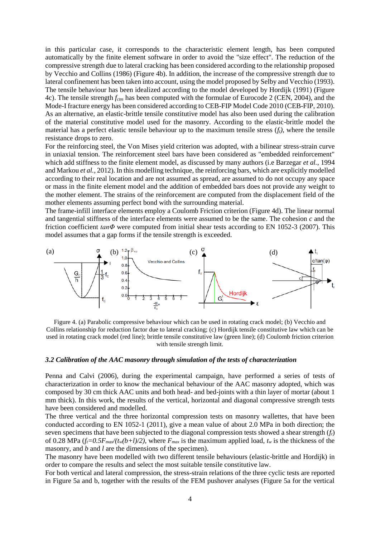in this particular case, it corresponds to the characteristic element length, has been computed automatically by the finite element software in order to avoid the "size effect". The reduction of the compressive strength due to lateral cracking has been considered according to the relationship proposed by Vecchio and Collins (1986) (Figure 4b). In addition, the increase of the compressive strength due to lateral confinement has been taken into account, using the model proposed by Selby and Vecchio (1993). The tensile behaviour has been idealized according to the model developed by Hordijk (1991) (Figure 4c). The tensile strength *fctm* has been computed with the formulae of Eurocode 2 (CEN, 2004), and the Mode-I fracture energy has been considered according to CEB-FIP Model Code 2010 (CEB-FIP, 2010). As an alternative, an elastic-brittle tensile constitutive model has also been used during the calibration of the material constitutive model used for the masonry. According to the elastic-brittle model the material has a perfect elastic tensile behaviour up to the maximum tensile stress (*ft)*, where the tensile resistance drops to zero.

For the reinforcing steel, the Von Mises yield criterion was adopted, with a bilinear stress-strain curve in uniaxial tension. The reinforcement steel bars have been considered as "embedded reinforcement" which add stiffness to the finite element model, as discussed by many authors (i.e Barzegar *et al.*, 1994 and Markou *et al.*, 2012). In this modelling technique, the reinforcing bars, which are explicitly modelled according to their real location and are not assumed as spread, are assumed to do not occupy any space or mass in the finite element model and the addition of embedded bars does not provide any weight to the mother element. The strains of the reinforcement are computed from the displacement field of the mother elements assuming perfect bond with the surrounding material.

The frame-infill interface elements employ a Coulomb Friction criterion (Figure 4d). The linear normal and tangential stiffness of the interface elements were assumed to be the same. The cohesion *c* and the friction coefficient *tanΦ* were computed from initial shear tests according to EN 1052-3 (2007). This model assumes that a gap forms if the tensile strength is exceeded.



Figure 4. (a) Parabolic compressive behaviour which can be used in rotating crack model; (b) Vecchio and Collins relationship for reduction factor due to lateral cracking; (c) Hordijk tensile constitutive law which can be used in rotating crack model (red line); brittle tensile constitutive law (green line); (d) Coulomb friction criterion with tensile strength limit.

#### *3.2 Calibration of the AAC masonry through simulation of the tests of characterization*

Penna and Calvi (2006), during the experimental campaign, have performed a series of tests of characterization in order to know the mechanical behaviour of the AAC masonry adopted, which was composed by 30 cm thick AAC units and both head- and bed-joints with a thin layer of mortar (about 1 mm thick). In this work, the results of the vertical, horizontal and diagonal compressive strength tests have been considered and modelled.

The three vertical and the three horizontal compression tests on masonry wallettes, that have been conducted according to EN 1052-1 (2011), give a mean value of about 2.0 MPa in both direction; the seven specimens that have been subjected to the diagonal compression tests showed a shear strength (*ft*) of 0.28 MPa  $(f_t=0.5F_{max}/(t_w(b+l)/2)$ , where  $F_{max}$  is the maximum applied load,  $t_w$  is the thickness of the masonry, and *b* and *l* are the dimensions of the specimen).

The masonry have been modelled with two different tensile behaviours (elastic-brittle and Hordijk) in order to compare the results and select the most suitable tensile constitutive law.

For both vertical and lateral compression, the stress-strain relations of the three cyclic tests are reported in Figure 5a and b, together with the results of the FEM pushover analyses (Figure 5a for the vertical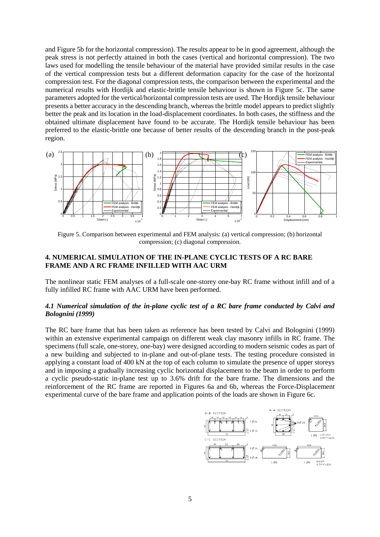and Figure 5b for the horizontal compression). The results appear to be in good agreement, although the peak stress is not perfectly attained in both the cases (vertical and horizontal compression). The two laws used for modelling the tensile behaviour of the material have provided similar results in the case of the vertical compression tests but a different deformation capacity for the case of the horizontal compression test. For the diagonal compression tests, the comparison between the experimental and the numerical results with Hordijk and elastic-brittle tensile behaviour is shown in Figure 5c. The same parameters adopted for the vertical/horizontal compression tests are used. The Hordijk tensile behaviour presents a better accuracy in the descending branch, whereas the brittle model appears to predict slightly better the peak and its location in the load-displacement coordinates. In both cases, the stiffness and the obtained ultimate displacement have found to be accurate. The Hordijk tensile behaviour has been preferred to the elastic-brittle one because of better results of the descending branch in the post-peak region.



Figure 5. Comparison between experimental and FEM analysis: (a) vertical compression; (b) horizontal compression; (c) diagonal compression.

# **4. NUMERICAL SIMULATION OF THE IN-PLANE CYCLIC TESTS OF A RC BARE FRAME AND A RC FRAME INFILLED WITH AAC URM**

The nonlinear static FEM analyses of a full-scale one-storey one-bay RC frame without infill and of a fully infilled RC frame with AAC URM have been performed.

### *4.1 Numerical simulation of the in-plane cyclic test of a RC bare frame conducted by Calvi and Bolognini (1999)*

The RC bare frame that has been taken as reference has been tested by Calvi and Bolognini (1999) within an extensive experimental campaign on different weak clay masonry infills in RC frame. The specimens (full scale, one-storey, one-bay) were designed according to modern seismic codes as part of a new building and subjected to in-plane and out-of-plane tests. The testing procedure consisted in applying a constant load of 400 kN at the top of each column to simulate the presence of upper storeys and in imposing a gradually increasing cyclic horizontal displacement to the beam in order to perform a cyclic pseudo-static in-plane test up to 3.6% drift for the bare frame. The dimensions and the reinforcement of the RC frame are reported in Figures 6a and 6b, whereas the Force-Displacement experimental curve of the bare frame and application points of the loads are shown in Figure 6c.

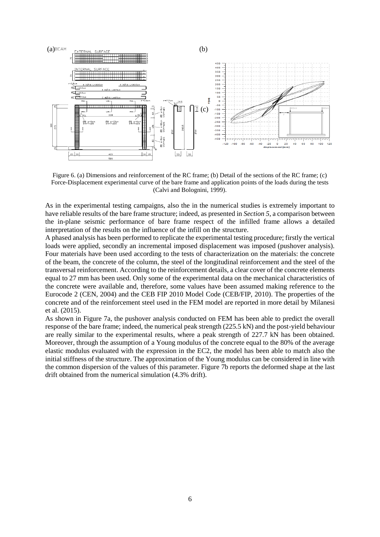

Figure 6. (a) Dimensions and reinforcement of the RC frame; (b) Detail of the sections of the RC frame; (c) Force-Displacement experimental curve of the bare frame and application points of the loads during the tests (Calvi and Bolognini, 1999).

As in the experimental testing campaigns, also the in the numerical studies is extremely important to have reliable results of the bare frame structure; indeed, as presented in *Section 5*, a comparison between the in-plane seismic performance of bare frame respect of the infilled frame allows a detailed interpretation of the results on the influence of the infill on the structure.

A phased analysis has been performed to replicate the experimental testing procedure; firstly the vertical loads were applied, secondly an incremental imposed displacement was imposed (pushover analysis). Four materials have been used according to the tests of characterization on the materials: the concrete of the beam, the concrete of the column, the steel of the longitudinal reinforcement and the steel of the transversal reinforcement. According to the reinforcement details, a clear cover of the concrete elements equal to 27 mm has been used. Only some of the experimental data on the mechanical characteristics of the concrete were available and, therefore, some values have been assumed making reference to the Eurocode 2 (CEN, 2004) and the CEB FIP 2010 Model Code (CEB/FIP, 2010). The properties of the concrete and of the reinforcement steel used in the FEM model are reported in more detail by Milanesi et al. (2015).

As shown in Figure 7a, the pushover analysis conducted on FEM has been able to predict the overall response of the bare frame; indeed, the numerical peak strength (225.5 kN) and the post-yield behaviour are really similar to the experimental results, where a peak strength of 227.7 kN has been obtained. Moreover, through the assumption of a Young modulus of the concrete equal to the 80% of the average elastic modulus evaluated with the expression in the EC2, the model has been able to match also the initial stiffness of the structure. The approximation of the Young modulus can be considered in line with the common dispersion of the values of this parameter. Figure 7b reports the deformed shape at the last drift obtained from the numerical simulation (4.3% drift).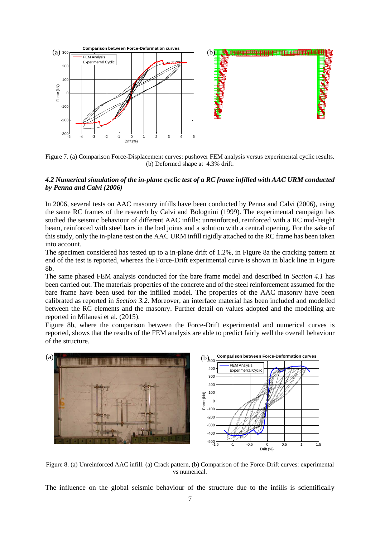

Figure 7. (a) Comparison Force-Displacement curves: pushover FEM analysis versus experimental cyclic results. (b) Deformed shape at 4.3% drift.

## *4.2 Numerical simulation of the in-plane cyclic test of a RC frame infilled with AAC URM conducted by Penna and Calvi (2006)*

In 2006, several tests on AAC masonry infills have been conducted by Penna and Calvi (2006), using the same RC frames of the research by Calvi and Bolognini (1999). The experimental campaign has studied the seismic behaviour of different AAC infills: unreinforced, reinforced with a RC mid-height beam, reinforced with steel bars in the bed joints and a solution with a central opening. For the sake of this study, only the in-plane test on the AAC URM infill rigidly attached to the RC frame has been taken into account.

The specimen considered has tested up to a in-plane drift of 1.2%, in Figure 8a the cracking pattern at end of the test is reported, whereas the Force-Drift experimental curve is shown in black line in Figure 8b.

The same phased FEM analysis conducted for the bare frame model and described in *Section 4.1* has been carried out. The materials properties of the concrete and of the steel reinforcement assumed for the bare frame have been used for the infilled model. The properties of the AAC masonry have been calibrated as reported in *Section 3.2*. Moreover, an interface material has been included and modelled between the RC elements and the masonry. Further detail on values adopted and the modelling are reported in Milanesi et al. (2015).

Figure 8b, where the comparison between the Force-Drift experimental and numerical curves is reported, shows that the results of the FEM analysis are able to predict fairly well the overall behaviour of the structure.



Figure 8. (a) Unreinforced AAC infill. (a) Crack pattern, (b) Comparison of the Force-Drift curves: experimental vs numerical.

The influence on the global seismic behaviour of the structure due to the infills is scientifically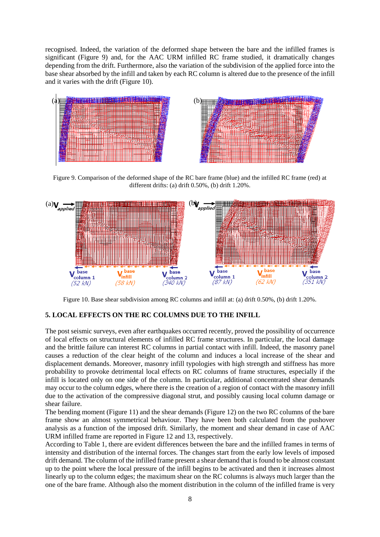recognised. Indeed, the variation of the deformed shape between the bare and the infilled frames is significant (Figure 9) and, for the AAC URM infilled RC frame studied, it dramatically changes depending from the drift. Furthermore, also the variation of the subdivision of the applied force into the base shear absorbed by the infill and taken by each RC column is altered due to the presence of the infill and it varies with the drift (Figure 10).





Figure 9. Comparison of the deformed shape of the RC bare frame (blue) and the infilled RC frame (red) at different drifts: (a) drift 0.50%, (b) drift 1.20%.



Figure 10. Base shear subdivision among RC columns and infill at: (a) drift 0.50%, (b) drift 1.20%.

# **5. LOCAL EFFECTS ON THE RC COLUMNS DUE TO THE INFILL**

The post seismic surveys, even after earthquakes occurred recently, proved the possibility of occurrence of local effects on structural elements of infilled RC frame structures. In particular, the local damage and the brittle failure can interest RC columns in partial contact with infill. Indeed, the masonry panel causes a reduction of the clear height of the column and induces a local increase of the shear and displacement demands. Moreover, masonry infill typologies with high strength and stiffness has more probability to provoke detrimental local effects on RC columns of frame structures, especially if the infill is located only on one side of the column. In particular, additional concentrated shear demands may occur to the column edges, where there is the creation of a region of contact with the masonry infill due to the activation of the compressive diagonal strut, and possibly causing local column damage or shear failure.

The bending moment (Figure 11) and the shear demands (Figure 12) on the two RC columns of the bare frame show an almost symmetrical behaviour. They have been both calculated from the pushover analysis as a function of the imposed drift. Similarly, the moment and shear demand in case of AAC URM infilled frame are reported in Figure 12 and 13, respectively.

According to Table 1, there are evident differences between the bare and the infilled frames in terms of intensity and distribution of the internal forces. The changes start from the early low levels of imposed drift demand. The column of the infilled frame present a shear demand that is found to be almost constant up to the point where the local pressure of the infill begins to be activated and then it increases almost linearly up to the column edges; the maximum shear on the RC columns is always much larger than the one of the bare frame. Although also the moment distribution in the column of the infilled frame is very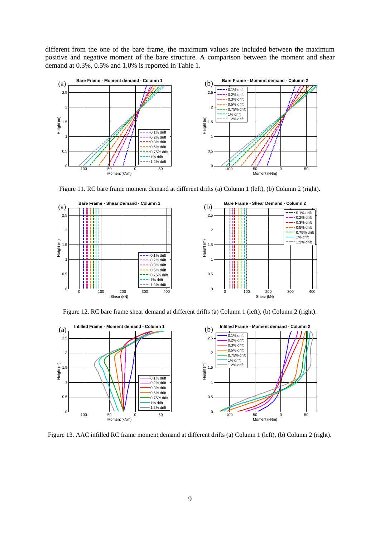different from the one of the bare frame, the maximum values are included between the maximum positive and negative moment of the bare structure. A comparison between the moment and shear demand at 0.3%, 0.5% and 1.0% is reported in Table 1.



Figure 11. RC bare frame moment demand at different drifts (a) Column 1 (left), (b) Column 2 (right).



Figure 12. RC bare frame shear demand at different drifts (a) Column 1 (left), (b) Column 2 (right).



Figure 13. AAC infilled RC frame moment demand at different drifts (a) Column 1 (left), (b) Column 2 (right).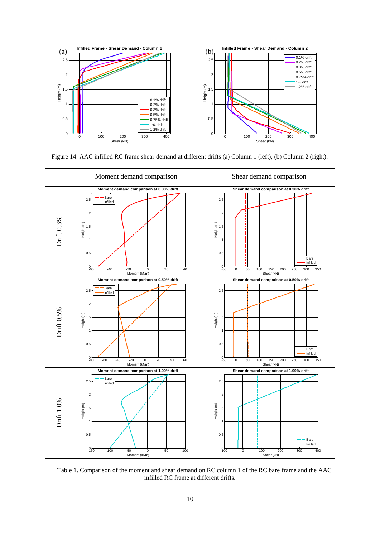

Figure 14. AAC infilled RC frame shear demand at different drifts (a) Column 1 (left), (b) Column 2 (right).



Table 1. Comparison of the moment and shear demand on RC column 1 of the RC bare frame and the AAC infilled RC frame at different drifts.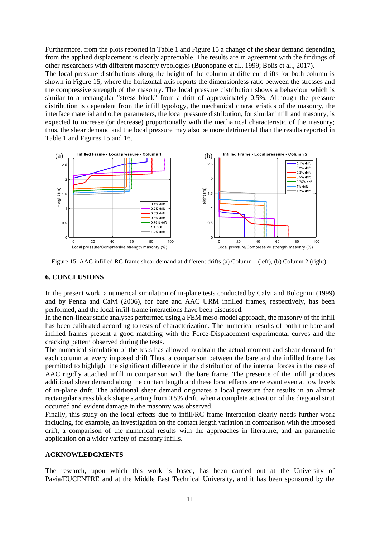Furthermore, from the plots reported in Table 1 and Figure 15 a change of the shear demand depending from the applied displacement is clearly appreciable. The results are in agreement with the findings of other researchers with different masonry typologies (Buonopane et al., 1999; Bolis et al., 2017). The local pressure distributions along the height of the column at different drifts for both column is shown in Figure 15, where the horizontal axis reports the dimensionless ratio between the stresses and the compressive strength of the masonry. The local pressure distribution shows a behaviour which is similar to a rectangular "stress block" from a drift of approximately 0.5%. Although the pressure distribution is dependent from the infill typology, the mechanical characteristics of the masonry, the interface material and other parameters, the local pressure distribution, for similar infill and masonry, is expected to increase (or decrease) proportionally with the mechanical characteristic of the masonry; thus, the shear demand and the local pressure may also be more detrimental than the results reported in Table 1 and Figures 15 and 16.



Figure 15. AAC infilled RC frame shear demand at different drifts (a) Column 1 (left), (b) Column 2 (right).

# **6. CONCLUSIONS**

In the present work, a numerical simulation of in-plane tests conducted by Calvi and Bolognini (1999) and by Penna and Calvi (2006), for bare and AAC URM infilled frames, respectively, has been performed, and the local infill-frame interactions have been discussed.

In the non-linear static analyses performed using a FEM meso-model approach, the masonry of the infill has been calibrated according to tests of characterization. The numerical results of both the bare and infilled frames present a good matching with the Force-Displacement experimental curves and the cracking pattern observed during the tests.

The numerical simulation of the tests has allowed to obtain the actual moment and shear demand for each column at every imposed drift Thus, a comparison between the bare and the infilled frame has permitted to highlight the significant difference in the distribution of the internal forces in the case of AAC rigidly attached infill in comparison with the bare frame. The presence of the infill produces additional shear demand along the contact length and these local effects are relevant even at low levels of in-plane drift. The additional shear demand originates a local pressure that results in an almost rectangular stress block shape starting from 0.5% drift, when a complete activation of the diagonal strut occurred and evident damage in the masonry was observed.

Finally, this study on the local effects due to infill/RC frame interaction clearly needs further work including, for example, an investigation on the contact length variation in comparison with the imposed drift, a comparison of the numerical results with the approaches in literature, and an parametric application on a wider variety of masonry infills.

#### **ACKNOWLEDGMENTS**

The research, upon which this work is based, has been carried out at the University of Pavia/EUCENTRE and at the Middle East Technical University, and it has been sponsored by the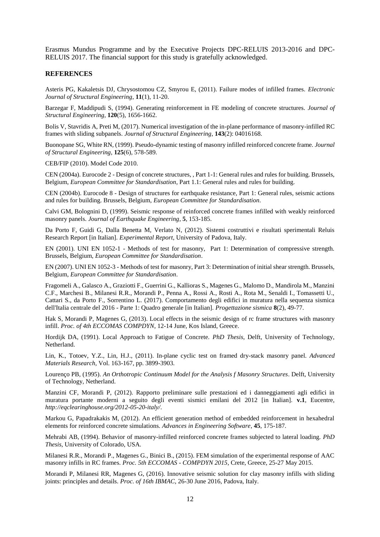Erasmus Mundus Programme and by the Executive Projects DPC-RELUIS 2013-2016 and DPC-RELUIS 2017. The financial support for this study is gratefully acknowledged.

#### **REFERENCES**

Asteris PG, Kakaletsis DJ, Chrysostomou CZ, Smyrou E, (2011). Failure modes of infilled frames. *Electronic Journal of Structural Engineering*, **11**(1), 11-20.

Barzegar F, Maddipudi S, (1994). Generating reinforcement in FE modeling of concrete structures. *Journal of Structural Engineering*, **120**(5), 1656-1662.

Bolis V, Stavridis A, Preti M, (2017). Numerical investigation of the in-plane performance of masonry-infilled RC frames with sliding subpanels. *Journal of Structural Engineering*, **143**(2): 04016168.

Buonopane SG, White RN, (1999). Pseudo-dynamic testing of masonry infilled reinforced concrete frame. *Journal of Structural Engineering*, **125**(6), 578-589.

CEB/FIP (2010). Model Code 2010.

CEN (2004a). Eurocode 2 - Design of concrete structures, , Part 1-1: General rules and rules for building. Brussels, Belgium, *European Committee for Standardisation*, Part 1.1: General rules and rules for building.

CEN (2004b). Eurocode 8 - Design of structures for earthquake resistance, Part 1: General rules, seismic actions and rules for building. Brussels, Belgium, *European Committee for Standardisation*.

Calvi GM, Bolognini D, (1999). Seismic response of reinforced concrete frames infilled with weakly reinforced masonry panels. *Journal of Earthquake Engineering*, **5**, 153-185.

Da Porto F, Guidi G, Dalla Benetta M, Verlato N, (2012). Sistemi costruttivi e risultati sperimentali Reluis Research Report [in Italian]. *Experimental Report*, University of Padova, Italy.

EN (2001). UNI EN 1052-1 - Methods of test for masonry, Part 1: Determination of compressive strength. Brussels, Belgium, *European Committee for Standardisation*.

EN (2007). UNI EN 1052-3 - Methods of test for masonry, Part 3: Determination of initial shear strength. Brussels, Belgium, *European Committee for Standardisation*.

Fragomeli A., Galasco A., Graziotti F., Guerrini G., Kallioras S., Magenes G., Malomo D., Mandirola M., Manzini C.F., Marchesi B., Milanesi R.R., Morandi P., Penna A., Rossi A., Rosti A., Rota M., Senaldi I., Tomassetti U., Cattari S., da Porto F., Sorrentino L. (2017). Comportamento degli edifici in muratura nella sequenza sismica dell'Italia centrale del 2016 - Parte 1: Quadro generale [in Italian]. *Progettazione sismica* **8**(2), 49-77.

Hak S, Morandi P, Magenes G, (2013). Local effects in the seismic design of rc frame structures with masonry infill. *Proc. of 4th ECCOMAS COMPDYN*, 12-14 June, Kos Island, Greece.

Hordijk DA, (1991). Local Approach to Fatigue of Concrete. *PhD Thesis*, Delft, University of Technology, Netherland.

Lin, K., Totoev, Y.Z., Lin, H.J., (2011). In-plane cyclic test on framed dry-stack masonry panel. *Advanced Materials Research*, Vol. 163-167, pp. 3899-3903.

Lourenço PB, (1995). *An Orthotropic Continuum Model for the Analysis f Masonry Structures*. Delft, University of Technology, Netherland.

Manzini CF, Morandi P, (2012). Rapporto preliminare sulle prestazioni ed i danneggiamenti agli edifici in muratura portante moderni a seguito degli eventi sismici emilani del 2012 [in Italian]. **v.1**, Eucentre, *http://eqclearinghouse.org/2012-05-20-italy/*.

Markou G, Papadrakakis M, (2012). An efficient generation method of embedded reinforcement in hexahedral elements for reinforced concrete simulations. *Advances in Engineering Software*, **45**, 175-187.

Mehrabi AB, (1994). Behavior of masonry-infilled reinforced concrete frames subjected to lateral loading. *PhD Thesis*, University of Colorado, USA.

Milanesi R.R., Morandi P., Magenes G., Binici B., (2015). FEM simulation of the experimental response of AAC masonry infills in RC frames. *Proc. 5th ECCOMAS - COMPDYN 2015*, Crete, Greece, 25-27 May 2015.

Morandi P, Milanesi RR, Magenes G, (2016). Innovative seismic solution for clay masonry infills with sliding joints: principles and details. *Proc. of 16th IBMAC*, 26-30 June 2016, Padova, Italy.